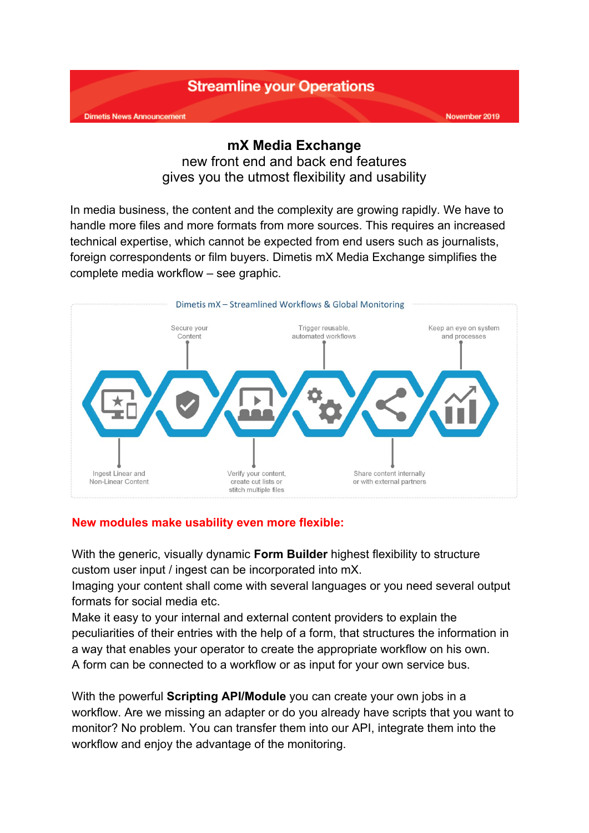

## **mX Media Exchange**

new front end and back end features gives you the utmost flexibility and usability

In media business, the content and the complexity are growing rapidly. We have to handle more files and more formats from more sources. This requires an increased technical expertise, which cannot be expected from end users such as journalists, foreign correspondents or film buyers. Dimetis mX Media Exchange simplifies the complete media workflow – see graphic.



## **New modules make usability even more flexible:**

With the generic, visually dynamic **Form Builder** highest flexibility to structure custom user input / ingest can be incorporated into mX.

Imaging your content shall come with several languages or you need several output formats for social media etc.

Make it easy to your internal and external content providers to explain the peculiarities of their entries with the help of a form, that structures the information in a way that enables your operator to create the appropriate workflow on his own. A form can be connected to a workflow or as input for your own service bus.

With the powerful **Scripting API/Module** you can create your own jobs in a workflow. Are we missing an adapter or do you already have scripts that you want to monitor? No problem. You can transfer them into our API, integrate them into the workflow and enjoy the advantage of the monitoring.